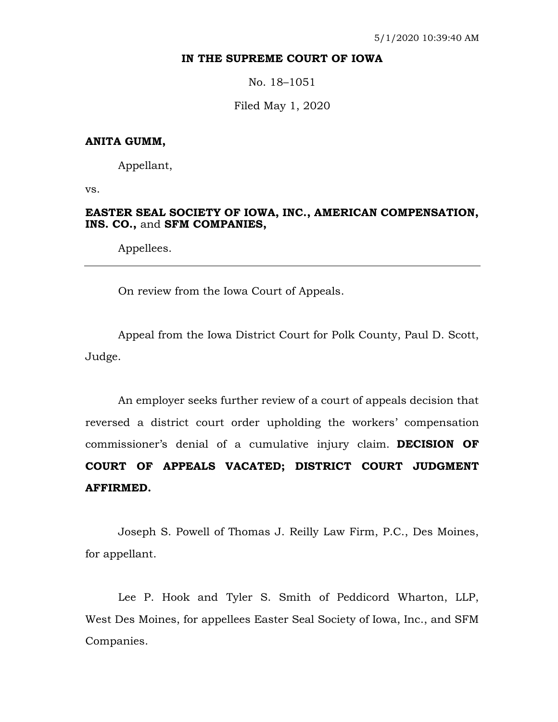## **IN THE SUPREME COURT OF IOWA**

No. 18–1051

Filed May 1, 2020

## **ANITA GUMM,**

Appellant,

vs.

# **EASTER SEAL SOCIETY OF IOWA, INC., AMERICAN COMPENSATION, INS. CO.,** and **SFM COMPANIES,**

Appellees.

On review from the Iowa Court of Appeals.

Appeal from the Iowa District Court for Polk County, Paul D. Scott, Judge.

An employer seeks further review of a court of appeals decision that reversed a district court order upholding the workers' compensation commissioner's denial of a cumulative injury claim. **DECISION OF COURT OF APPEALS VACATED; DISTRICT COURT JUDGMENT AFFIRMED.**

Joseph S. Powell of Thomas J. Reilly Law Firm, P.C., Des Moines, for appellant.

Lee P. Hook and Tyler S. Smith of Peddicord Wharton, LLP, West Des Moines, for appellees Easter Seal Society of Iowa, Inc., and SFM Companies.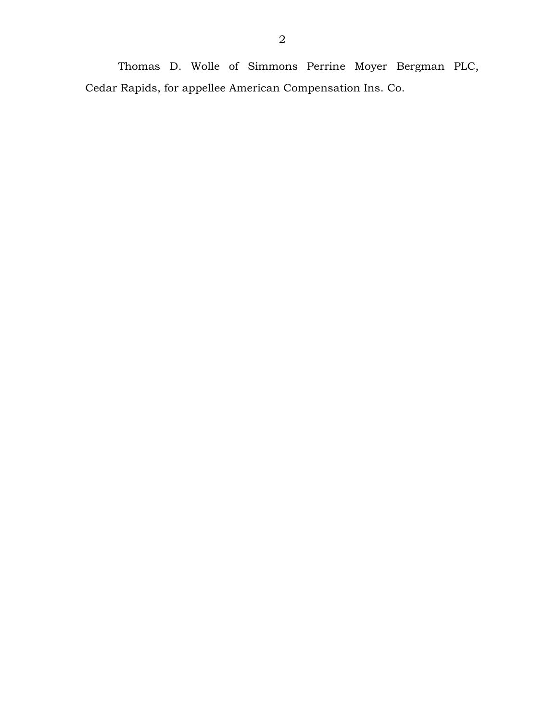Thomas D. Wolle of Simmons Perrine Moyer Bergman PLC, Cedar Rapids, for appellee American Compensation Ins. Co.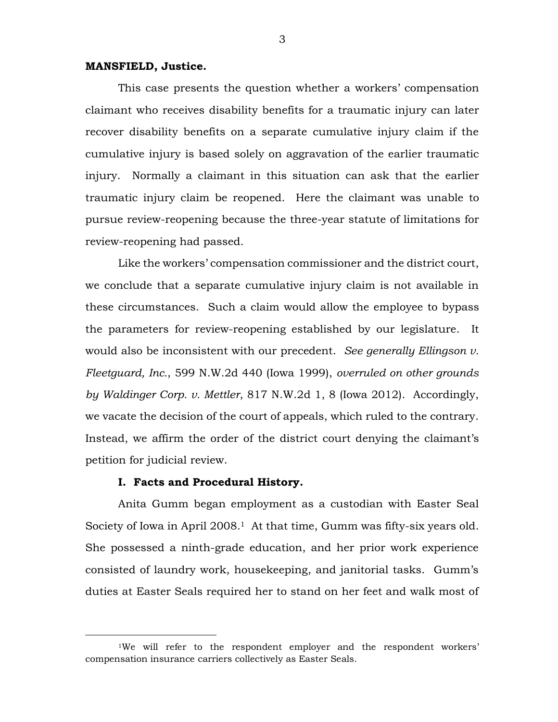#### **MANSFIELD, Justice.**

This case presents the question whether a workers' compensation claimant who receives disability benefits for a traumatic injury can later recover disability benefits on a separate cumulative injury claim if the cumulative injury is based solely on aggravation of the earlier traumatic injury. Normally a claimant in this situation can ask that the earlier traumatic injury claim be reopened. Here the claimant was unable to pursue review-reopening because the three-year statute of limitations for review-reopening had passed.

Like the workers' compensation commissioner and the district court, we conclude that a separate cumulative injury claim is not available in these circumstances. Such a claim would allow the employee to bypass the parameters for review-reopening established by our legislature. It would also be inconsistent with our precedent. *See generally Ellingson v. Fleetguard, Inc.*, 599 N.W.2d 440 (Iowa 1999), *overruled on other grounds by Waldinger Corp. v. Mettler*, 817 N.W.2d 1, 8 (Iowa 2012). Accordingly, we vacate the decision of the court of appeals, which ruled to the contrary. Instead, we affirm the order of the district court denying the claimant's petition for judicial review.

#### **I. Facts and Procedural History.**

 $\overline{a}$ 

Anita Gumm began employment as a custodian with Easter Seal Society of Iowa in April 2008.<sup>1</sup> At that time, Gumm was fifty-six years old. She possessed a ninth-grade education, and her prior work experience consisted of laundry work, housekeeping, and janitorial tasks. Gumm's duties at Easter Seals required her to stand on her feet and walk most of

<sup>1</sup>We will refer to the respondent employer and the respondent workers' compensation insurance carriers collectively as Easter Seals.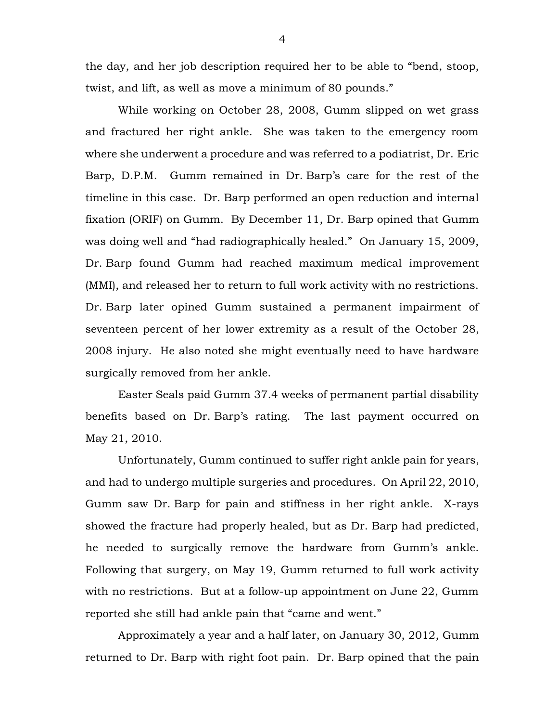the day, and her job description required her to be able to "bend, stoop, twist, and lift, as well as move a minimum of 80 pounds."

While working on October 28, 2008, Gumm slipped on wet grass and fractured her right ankle. She was taken to the emergency room where she underwent a procedure and was referred to a podiatrist, Dr. Eric Barp, D.P.M. Gumm remained in Dr. Barp's care for the rest of the timeline in this case. Dr. Barp performed an open reduction and internal fixation (ORIF) on Gumm. By December 11, Dr. Barp opined that Gumm was doing well and "had radiographically healed." On January 15, 2009, Dr. Barp found Gumm had reached maximum medical improvement (MMI), and released her to return to full work activity with no restrictions. Dr. Barp later opined Gumm sustained a permanent impairment of seventeen percent of her lower extremity as a result of the October 28, 2008 injury. He also noted she might eventually need to have hardware surgically removed from her ankle.

Easter Seals paid Gumm 37.4 weeks of permanent partial disability benefits based on Dr. Barp's rating. The last payment occurred on May 21, 2010.

Unfortunately, Gumm continued to suffer right ankle pain for years, and had to undergo multiple surgeries and procedures. On April 22, 2010, Gumm saw Dr. Barp for pain and stiffness in her right ankle. X-rays showed the fracture had properly healed, but as Dr. Barp had predicted, he needed to surgically remove the hardware from Gumm's ankle. Following that surgery, on May 19, Gumm returned to full work activity with no restrictions. But at a follow-up appointment on June 22, Gumm reported she still had ankle pain that "came and went."

Approximately a year and a half later, on January 30, 2012, Gumm returned to Dr. Barp with right foot pain. Dr. Barp opined that the pain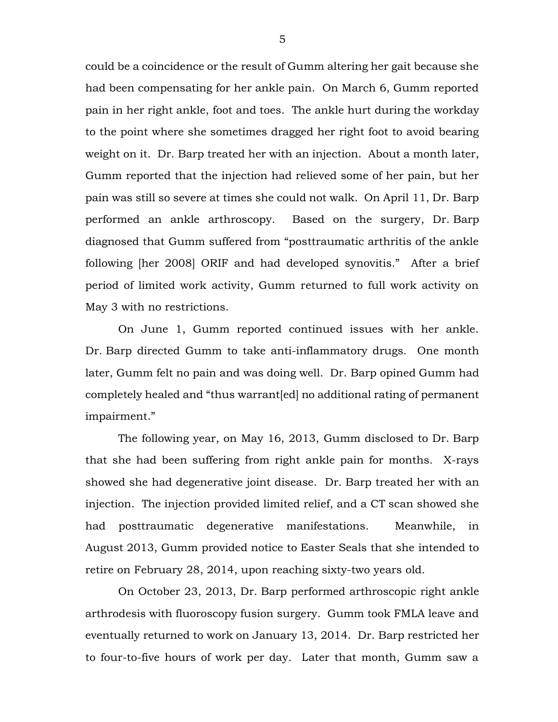could be a coincidence or the result of Gumm altering her gait because she had been compensating for her ankle pain. On March 6, Gumm reported pain in her right ankle, foot and toes. The ankle hurt during the workday to the point where she sometimes dragged her right foot to avoid bearing weight on it. Dr. Barp treated her with an injection. About a month later, Gumm reported that the injection had relieved some of her pain, but her pain was still so severe at times she could not walk. On April 11, Dr. Barp performed an ankle arthroscopy. Based on the surgery, Dr. Barp diagnosed that Gumm suffered from "posttraumatic arthritis of the ankle following [her 2008] ORIF and had developed synovitis." After a brief period of limited work activity, Gumm returned to full work activity on May 3 with no restrictions.

On June 1, Gumm reported continued issues with her ankle. Dr. Barp directed Gumm to take anti-inflammatory drugs. One month later, Gumm felt no pain and was doing well. Dr. Barp opined Gumm had completely healed and "thus warrant[ed] no additional rating of permanent impairment."

The following year, on May 16, 2013, Gumm disclosed to Dr. Barp that she had been suffering from right ankle pain for months. X-rays showed she had degenerative joint disease. Dr. Barp treated her with an injection. The injection provided limited relief, and a CT scan showed she had posttraumatic degenerative manifestations. Meanwhile, in August 2013, Gumm provided notice to Easter Seals that she intended to retire on February 28, 2014, upon reaching sixty-two years old.

On October 23, 2013, Dr. Barp performed arthroscopic right ankle arthrodesis with fluoroscopy fusion surgery. Gumm took FMLA leave and eventually returned to work on January 13, 2014. Dr. Barp restricted her to four-to-five hours of work per day. Later that month, Gumm saw a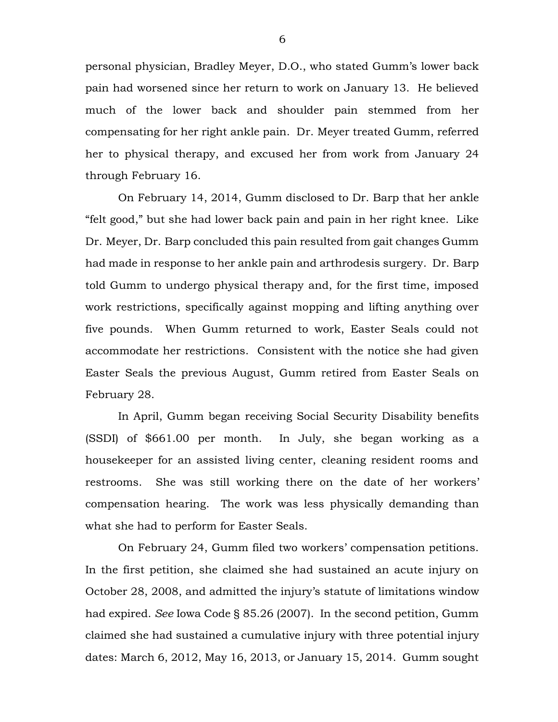personal physician, Bradley Meyer, D.O., who stated Gumm's lower back pain had worsened since her return to work on January 13. He believed much of the lower back and shoulder pain stemmed from her compensating for her right ankle pain. Dr. Meyer treated Gumm, referred her to physical therapy, and excused her from work from January 24 through February 16.

On February 14, 2014, Gumm disclosed to Dr. Barp that her ankle "felt good," but she had lower back pain and pain in her right knee. Like Dr. Meyer, Dr. Barp concluded this pain resulted from gait changes Gumm had made in response to her ankle pain and arthrodesis surgery. Dr. Barp told Gumm to undergo physical therapy and, for the first time, imposed work restrictions, specifically against mopping and lifting anything over five pounds. When Gumm returned to work, Easter Seals could not accommodate her restrictions. Consistent with the notice she had given Easter Seals the previous August, Gumm retired from Easter Seals on February 28.

In April, Gumm began receiving Social Security Disability benefits (SSDI) of \$661.00 per month. In July, she began working as a housekeeper for an assisted living center, cleaning resident rooms and restrooms. She was still working there on the date of her workers' compensation hearing. The work was less physically demanding than what she had to perform for Easter Seals.

On February 24, Gumm filed two workers' compensation petitions. In the first petition, she claimed she had sustained an acute injury on October 28, 2008, and admitted the injury's statute of limitations window had expired. *See* Iowa Code § 85.26 (2007). In the second petition, Gumm claimed she had sustained a cumulative injury with three potential injury dates: March 6, 2012, May 16, 2013, or January 15, 2014. Gumm sought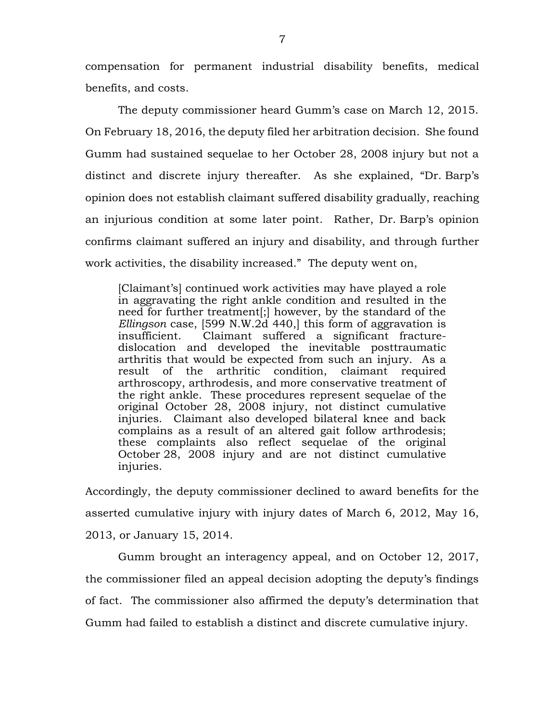compensation for permanent industrial disability benefits, medical benefits, and costs.

The deputy commissioner heard Gumm's case on March 12, 2015. On February 18, 2016, the deputy filed her arbitration decision. She found Gumm had sustained sequelae to her October 28, 2008 injury but not a distinct and discrete injury thereafter. As she explained, "Dr. Barp's opinion does not establish claimant suffered disability gradually, reaching an injurious condition at some later point. Rather, Dr. Barp's opinion confirms claimant suffered an injury and disability, and through further work activities, the disability increased." The deputy went on,

[Claimant's] continued work activities may have played a role in aggravating the right ankle condition and resulted in the need for further treatment[;] however, by the standard of the *Ellingson* case, [599 N.W.2d 440,] this form of aggravation is insufficient. Claimant suffered a significant fracturedislocation and developed the inevitable posttraumatic arthritis that would be expected from such an injury. As a result of the arthritic condition, claimant required arthroscopy, arthrodesis, and more conservative treatment of the right ankle. These procedures represent sequelae of the original October 28, 2008 injury, not distinct cumulative injuries. Claimant also developed bilateral knee and back complains as a result of an altered gait follow arthrodesis; these complaints also reflect sequelae of the original October 28, 2008 injury and are not distinct cumulative injuries.

Accordingly, the deputy commissioner declined to award benefits for the asserted cumulative injury with injury dates of March 6, 2012, May 16, 2013, or January 15, 2014.

Gumm brought an interagency appeal, and on October 12, 2017, the commissioner filed an appeal decision adopting the deputy's findings of fact. The commissioner also affirmed the deputy's determination that Gumm had failed to establish a distinct and discrete cumulative injury.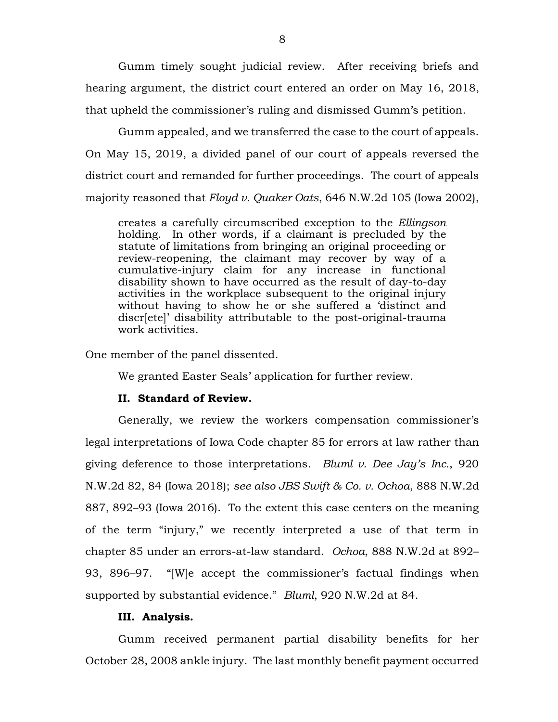Gumm timely sought judicial review. After receiving briefs and hearing argument, the district court entered an order on May 16, 2018, that upheld the commissioner's ruling and dismissed Gumm's petition.

Gumm appealed, and we transferred the case to the court of appeals. On May 15, 2019, a divided panel of our court of appeals reversed the district court and remanded for further proceedings. The court of appeals majority reasoned that *Floyd v. Quaker Oats*, 646 N.W.2d 105 (Iowa 2002),

creates a carefully circumscribed exception to the *Ellingson*  holding. In other words, if a claimant is precluded by the statute of limitations from bringing an original proceeding or review-reopening, the claimant may recover by way of a cumulative-injury claim for any increase in functional disability shown to have occurred as the result of day-to-day activities in the workplace subsequent to the original injury without having to show he or she suffered a 'distinct and discr[ete]' disability attributable to the post-original-trauma work activities.

One member of the panel dissented.

We granted Easter Seals' application for further review.

#### **II. Standard of Review.**

Generally, we review the workers compensation commissioner's legal interpretations of Iowa Code chapter 85 for errors at law rather than giving deference to those interpretations. *Bluml v. Dee Jay's Inc.*, 920 N.W.2d 82, 84 (Iowa 2018); *see also JBS Swift & Co. v. Ochoa*, 888 N.W.2d 887, 892–93 (Iowa 2016). To the extent this case centers on the meaning of the term "injury," we recently interpreted a use of that term in chapter 85 under an errors-at-law standard. *Ochoa*, 888 N.W.2d at 892– 93, 896–97. "[W]e accept the commissioner's factual findings when supported by substantial evidence." *Bluml*, 920 N.W.2d at 84.

## **III. Analysis.**

Gumm received permanent partial disability benefits for her October 28, 2008 ankle injury. The last monthly benefit payment occurred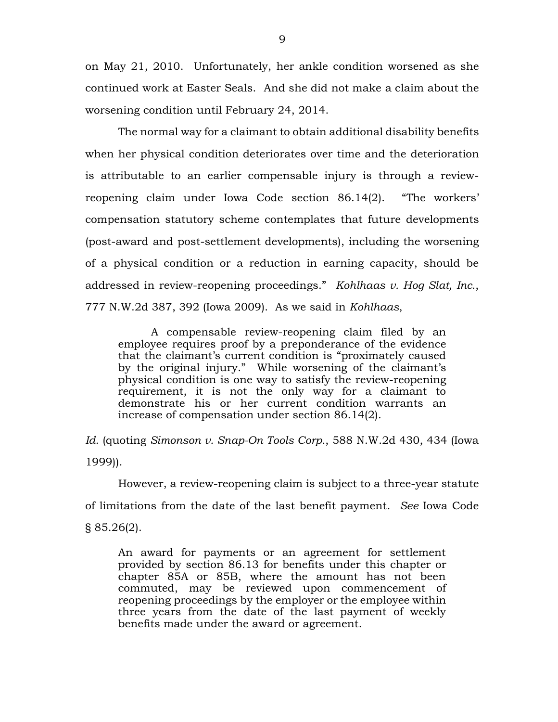on May 21, 2010. Unfortunately, her ankle condition worsened as she continued work at Easter Seals. And she did not make a claim about the worsening condition until February 24, 2014.

The normal way for a claimant to obtain additional disability benefits when her physical condition deteriorates over time and the deterioration is attributable to an earlier compensable injury is through a reviewreopening claim under Iowa Code section 86.14(2). "The workers' compensation statutory scheme contemplates that future developments (post-award and post-settlement developments), including the worsening of a physical condition or a reduction in earning capacity, should be addressed in review-reopening proceedings." *Kohlhaas v. Hog Slat, Inc.*, 777 N.W.2d 387, 392 (Iowa 2009). As we said in *Kohlhaas*,

A compensable review-reopening claim filed by an employee requires proof by a preponderance of the evidence that the claimant's current condition is "proximately caused by the original injury." While worsening of the claimant's physical condition is one way to satisfy the review-reopening requirement, it is not the only way for a claimant to demonstrate his or her current condition warrants an increase of compensation under [section 86.14\(2\).](https://1.next.westlaw.com/Link/Document/FullText?findType=L&pubNum=1000256&cite=IASTS86.14&originatingDoc=Ieed8508ae5a211de8bf6cd8525c41437&refType=LQ&originationContext=document&transitionType=DocumentItem&contextData=(sc.Search))

*Id.* (quoting *Simonson v. Snap-On Tools Corp.*, 588 N.W.2d 430, 434 (Iowa 1999)).

However, a review-reopening claim is subject to a three-year statute of limitations from the date of the last benefit payment. *See* Iowa Code § 85.26(2).

An award for payments or an agreement for settlement provided by [section 86.13](https://1.next.westlaw.com/Link/Document/FullText?findType=L&pubNum=1000256&cite=IASTS86.13&originatingDoc=ND7EA19A0316911E78224B9877882B17A&refType=LQ&originationContext=document&transitionType=DocumentItem&contextData=(sc.UserEnteredCitation)) for benefits under this chapter or chapter 85A or 85B, where the amount has not been commuted, may be reviewed upon commencement of reopening proceedings by the employer or the employee within three years from the date of the last payment of weekly benefits made under the award or agreement.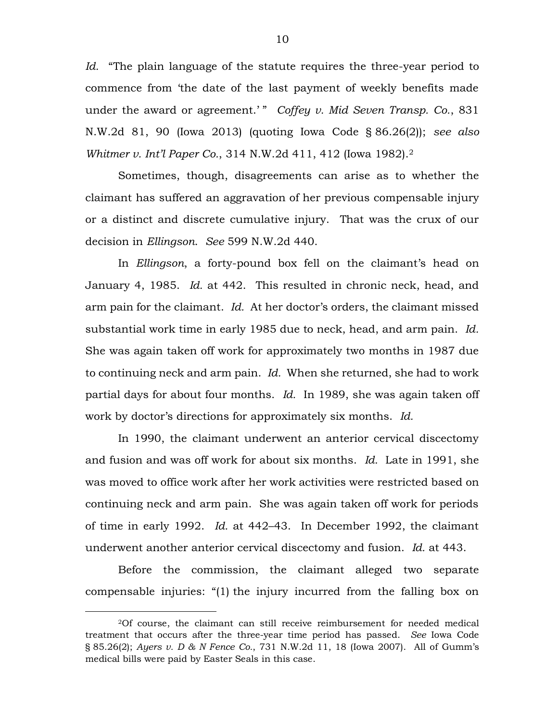*Id.* "The plain language of the statute requires the three-year period to commence from 'the date of the last payment of weekly benefits made under the award or agreement.'" *Coffey v. Mid Seven Transp. Co.*, 831 N.W.2d 81, 90 (Iowa 2013) (quoting Iowa Code § 86.26(2)); *see also Whitmer v. Int'l Paper Co.*, 314 N.W.2d 411, 412 (Iowa 1982). 2

Sometimes, though, disagreements can arise as to whether the claimant has suffered an aggravation of her previous compensable injury or a distinct and discrete cumulative injury. That was the crux of our decision in *Ellingson*. *See* 599 N.W.2d 440.

In *Ellingson*, a forty-pound box fell on the claimant's head on January 4, 1985. *Id.* at 442. This resulted in chronic neck, head, and arm pain for the claimant. *Id.* At her doctor's orders, the claimant missed substantial work time in early 1985 due to neck, head, and arm pain. *Id.* She was again taken off work for approximately two months in 1987 due to continuing neck and arm pain. *Id.* When she returned, she had to work partial days for about four months. *Id.* In 1989, she was again taken off work by doctor's directions for approximately six months. *Id.*

In 1990, the claimant underwent an anterior cervical discectomy and fusion and was off work for about six months. *Id.* Late in 1991, she was moved to office work after her work activities were restricted based on continuing neck and arm pain. She was again taken off work for periods of time in early 1992. *Id.* at 442–43. In December 1992, the claimant underwent another anterior cervical discectomy and fusion. *Id.* at 443.

Before the commission, the claimant alleged two separate compensable injuries: "(1) the injury incurred from the falling box on

 $\overline{a}$ 

<sup>2</sup>Of course, the claimant can still receive reimbursement for needed medical treatment that occurs after the three-year time period has passed. *See* Iowa Code § 85.26(2); *Ayers v. D & N Fence Co.*, 731 N.W.2d 11, 18 (Iowa 2007). All of Gumm's medical bills were paid by Easter Seals in this case.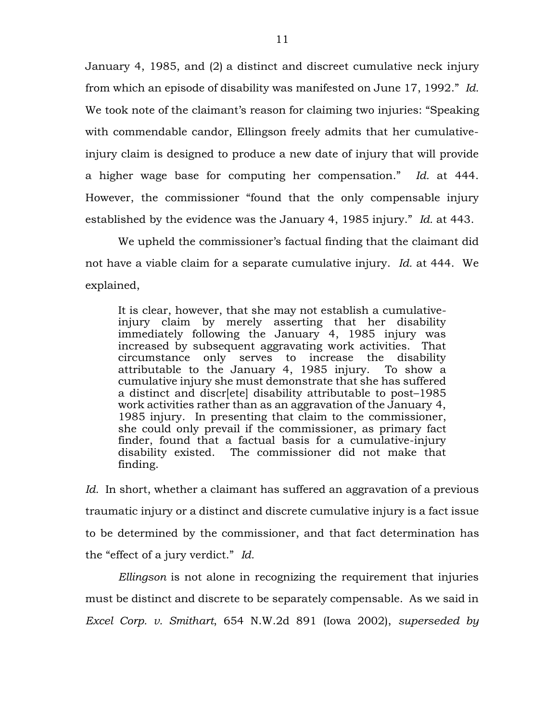January 4, 1985, and (2) a distinct and discreet cumulative neck injury from which an episode of disability was manifested on June 17, 1992." *Id.* We took note of the claimant's reason for claiming two injuries: "Speaking with commendable candor, Ellingson freely admits that her cumulativeinjury claim is designed to produce a new date of injury that will provide a higher wage base for computing her compensation." *Id.* at 444. However, the commissioner "found that the only compensable injury established by the evidence was the January 4, 1985 injury." *Id.* at 443.

We upheld the commissioner's factual finding that the claimant did not have a viable claim for a separate cumulative injury. *Id.* at 444. We explained,

It is clear, however, that she may not establish a cumulativeinjury claim by merely asserting that her disability immediately following the January 4, 1985 injury was increased by subsequent aggravating work activities. That circumstance only serves to increase the disability attributable to the January 4, 1985 injury. To show a cumulative injury she must demonstrate that she has suffered a distinct and discr[ete] disability attributable to post–1985 work activities rather than as an aggravation of the January 4, 1985 injury. In presenting that claim to the commissioner, she could only prevail if the commissioner, as primary fact finder, found that a factual basis for a cumulative-injury disability existed. The commissioner did not make that finding.

*Id.* In short, whether a claimant has suffered an aggravation of a previous traumatic injury or a distinct and discrete cumulative injury is a fact issue to be determined by the commissioner, and that fact determination has the "effect of a jury verdict." *Id.*

*Ellingson* is not alone in recognizing the requirement that injuries must be distinct and discrete to be separately compensable. As we said in *Excel Corp. v. Smithart*, 654 N.W.2d 891 (Iowa 2002), *superseded by*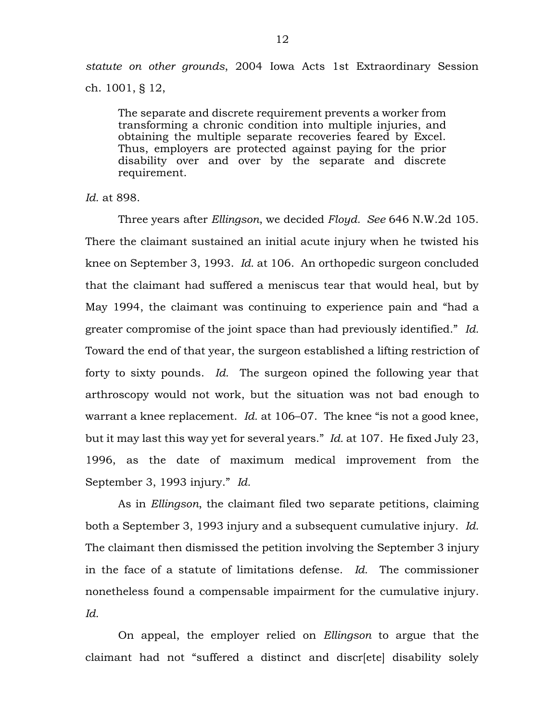*statute on other grounds*, 2004 Iowa Acts 1st Extraordinary Session ch. 1001, § 12,

The separate and discrete requirement prevents a worker from transforming a chronic condition into multiple injuries, and obtaining the multiple separate recoveries feared by Excel. Thus, employers are protected against paying for the prior disability over and over by the separate and discrete requirement.

*Id.* at 898.

Three years after *Ellingson*, we decided *Floyd. See* 646 N.W.2d 105. There the claimant sustained an initial acute injury when he twisted his knee on September 3, 1993. *Id.* at 106. An orthopedic surgeon concluded that the claimant had suffered a meniscus tear that would heal, but by May 1994, the claimant was continuing to experience pain and "had a greater compromise of the joint space than had previously identified." *Id.* Toward the end of that year, the surgeon established a lifting restriction of forty to sixty pounds. *Id.* The surgeon opined the following year that arthroscopy would not work, but the situation was not bad enough to warrant a knee replacement. *Id.* at 106–07. The knee "is not a good knee, but it may last this way yet for several years." *Id.* at 107. He fixed July 23, 1996, as the date of maximum medical improvement from the September 3, 1993 injury." *Id.*

As in *Ellingson*, the claimant filed two separate petitions, claiming both a September 3, 1993 injury and a subsequent cumulative injury. *Id.* The claimant then dismissed the petition involving the September 3 injury in the face of a statute of limitations defense. *Id.* The commissioner nonetheless found a compensable impairment for the cumulative injury. *Id.*

On appeal, the employer relied on *Ellingson* to argue that the claimant had not "suffered a distinct and discr[ete] disability solely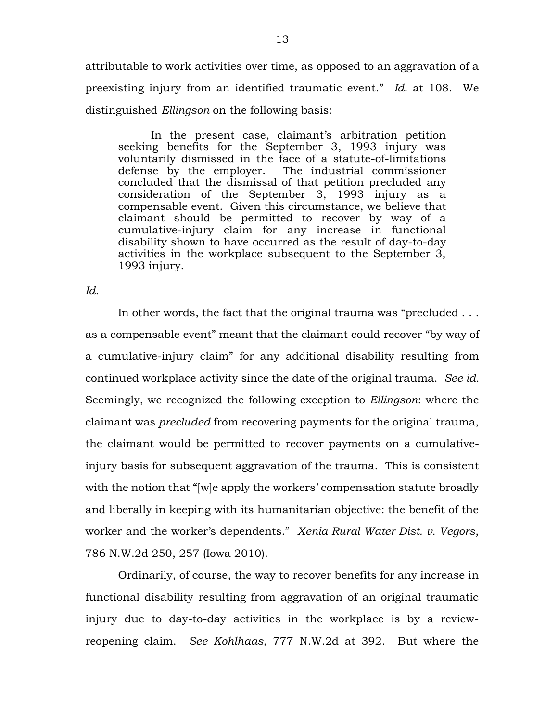attributable to work activities over time, as opposed to an aggravation of a preexisting injury from an identified traumatic event." *Id.* at 108. We distinguished *Ellingson* on the following basis:

In the present case, claimant's arbitration petition seeking benefits for the September 3, 1993 injury was voluntarily dismissed in the face of a statute-of-limitations defense by the employer. The industrial commissioner concluded that the dismissal of that petition precluded any consideration of the September 3, 1993 injury as a compensable event. Given this circumstance, we believe that claimant should be permitted to recover by way of a cumulative-injury claim for any increase in functional disability shown to have occurred as the result of day-to-day activities in the workplace subsequent to the September 3, 1993 injury.

*Id.*

In other words, the fact that the original trauma was "precluded . . . as a compensable event" meant that the claimant could recover "by way of a cumulative-injury claim" for any additional disability resulting from continued workplace activity since the date of the original trauma. *See id.* Seemingly, we recognized the following exception to *Ellingson*: where the claimant was *precluded* from recovering payments for the original trauma, the claimant would be permitted to recover payments on a cumulativeinjury basis for subsequent aggravation of the trauma. This is consistent with the notion that "[w]e apply the workers' compensation statute broadly and liberally in keeping with its humanitarian objective: the benefit of the worker and the worker's dependents." *Xenia Rural Water Dist. v. Vegors*, 786 N.W.2d 250, 257 (Iowa 2010).

Ordinarily, of course, the way to recover benefits for any increase in functional disability resulting from aggravation of an original traumatic injury due to day-to-day activities in the workplace is by a reviewreopening claim. *See Kohlhaas*, 777 N.W.2d at 392. But where the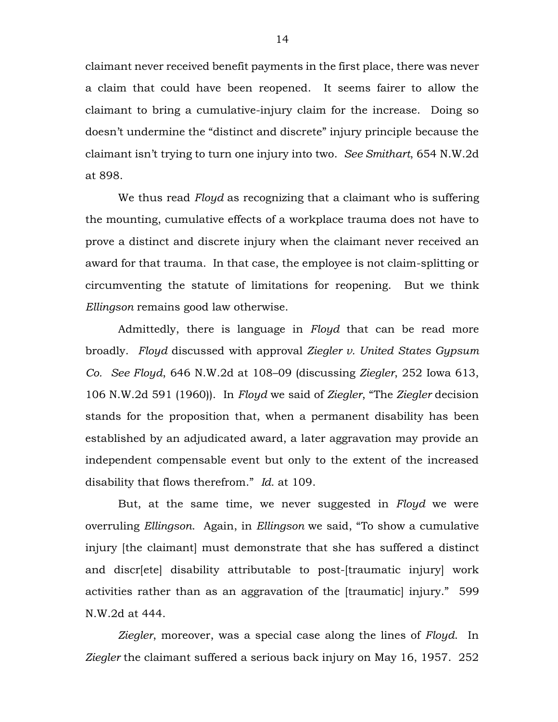claimant never received benefit payments in the first place, there was never a claim that could have been reopened. It seems fairer to allow the claimant to bring a cumulative-injury claim for the increase. Doing so doesn't undermine the "distinct and discrete" injury principle because the claimant isn't trying to turn one injury into two. *See Smithart*, 654 N.W.2d at 898.

We thus read *Floyd* as recognizing that a claimant who is suffering the mounting, cumulative effects of a workplace trauma does not have to prove a distinct and discrete injury when the claimant never received an award for that trauma. In that case, the employee is not claim-splitting or circumventing the statute of limitations for reopening. But we think *Ellingson* remains good law otherwise.

Admittedly, there is language in *Floyd* that can be read more broadly. *Floyd* discussed with approval *Ziegler v. United States Gypsum Co. See Floyd*, 646 N.W.2d at 108–09 (discussing *Ziegler*, 252 Iowa 613, 106 N.W.2d 591 (1960)). In *Floyd* we said of *Ziegler*, "The *Ziegler* decision stands for the proposition that, when a permanent disability has been established by an adjudicated award, a later aggravation may provide an independent compensable event but only to the extent of the increased disability that flows therefrom." *Id.* at 109.

But, at the same time, we never suggested in *Floyd* we were overruling *Ellingson*. Again, in *Ellingson* we said, "To show a cumulative injury [the claimant] must demonstrate that she has suffered a distinct and discr[ete] disability attributable to post-[traumatic injury] work activities rather than as an aggravation of the [traumatic] injury." 599 N.W.2d at 444.

*Ziegler*, moreover, was a special case along the lines of *Floyd*. In *Ziegler* the claimant suffered a serious back injury on May 16, 1957. 252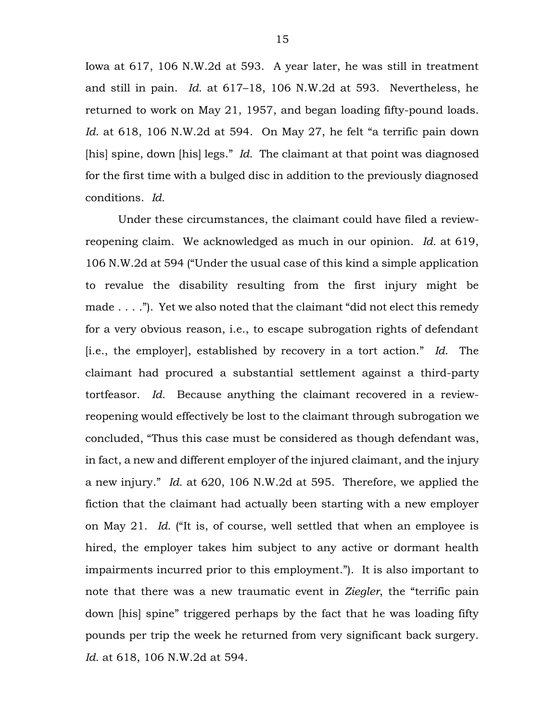Iowa at 617, 106 N.W.2d at 593. A year later, he was still in treatment and still in pain. *Id.* at 617–18, 106 N.W.2d at 593. Nevertheless, he returned to work on May 21, 1957, and began loading fifty-pound loads. *Id.* at 618, 106 N.W.2d at 594. On May 27, he felt "a terrific pain down [his] spine, down [his] legs." *Id.* The claimant at that point was diagnosed for the first time with a bulged disc in addition to the previously diagnosed conditions. *Id.*

Under these circumstances, the claimant could have filed a reviewreopening claim. We acknowledged as much in our opinion. *Id.* at 619, 106 N.W.2d at 594 ("Under the usual case of this kind a simple application to revalue the disability resulting from the first injury might be made . . . ."). Yet we also noted that the claimant "did not elect this remedy for a very obvious reason, i.e., to escape subrogation rights of defendant [i.e., the employer], established by recovery in a tort action." *Id.* The claimant had procured a substantial settlement against a third-party tortfeasor. *Id.* Because anything the claimant recovered in a reviewreopening would effectively be lost to the claimant through subrogation we concluded, "Thus this case must be considered as though defendant was, in fact, a new and different employer of the injured claimant, and the injury a new injury." *Id.* at 620, 106 N.W.2d at 595. Therefore, we applied the fiction that the claimant had actually been starting with a new employer on May 21. *Id.* ("It is, of course, well settled that when an employee is hired, the employer takes him subject to any active or dormant health impairments incurred prior to this employment."). It is also important to note that there was a new traumatic event in *Ziegler*, the "terrific pain down [his] spine" triggered perhaps by the fact that he was loading fifty pounds per trip the week he returned from very significant back surgery. *Id.* at 618, 106 N.W.2d at 594.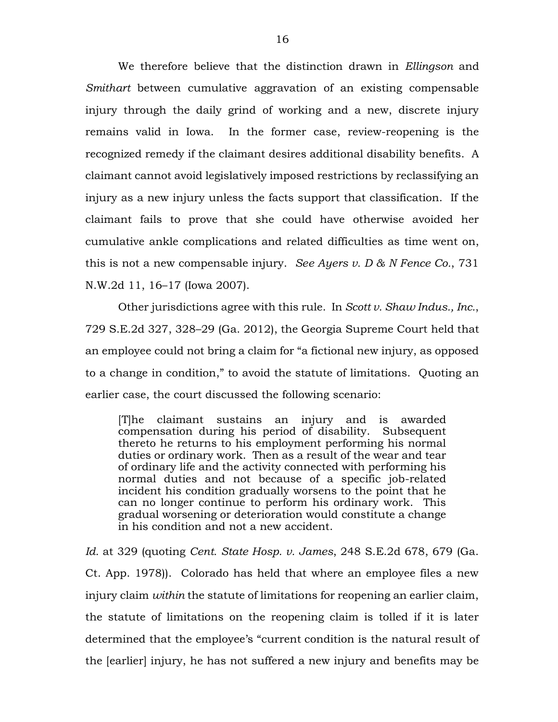We therefore believe that the distinction drawn in *Ellingson* and *Smithart* between cumulative aggravation of an existing compensable injury through the daily grind of working and a new, discrete injury remains valid in Iowa. In the former case, review-reopening is the recognized remedy if the claimant desires additional disability benefits. A claimant cannot avoid legislatively imposed restrictions by reclassifying an injury as a new injury unless the facts support that classification. If the claimant fails to prove that she could have otherwise avoided her cumulative ankle complications and related difficulties as time went on, this is not a new compensable injury. *See Ayers v. D & N Fence Co.*, 731 N.W.2d 11, 16–17 (Iowa 2007).

Other jurisdictions agree with this rule. In *Scott v. Shaw Indus., Inc.*, 729 S.E.2d 327, 328–29 (Ga. 2012), the Georgia Supreme Court held that an employee could not bring a claim for "a fictional new injury, as opposed to a change in condition," to avoid the statute of limitations. Quoting an earlier case, the court discussed the following scenario:

[T]he claimant sustains an injury and is awarded compensation during his period of disability. Subsequent thereto he returns to his employment performing his normal duties or ordinary work. Then as a result of the wear and tear of ordinary life and the activity connected with performing his normal duties and not because of a specific job-related incident his condition gradually worsens to the point that he can no longer continue to perform his ordinary work. This gradual worsening or deterioration would constitute a change in his condition and not a new accident.

*Id.* at 329 (quoting *Cent. State Hosp. v. James*, 248 S.E.2d 678, 679 (Ga. Ct. App. 1978)). Colorado has held that where an employee files a new injury claim *within* the statute of limitations for reopening an earlier claim, the statute of limitations on the reopening claim is tolled if it is later determined that the employee's "current condition is the natural result of the [earlier] injury, he has not suffered a new injury and benefits may be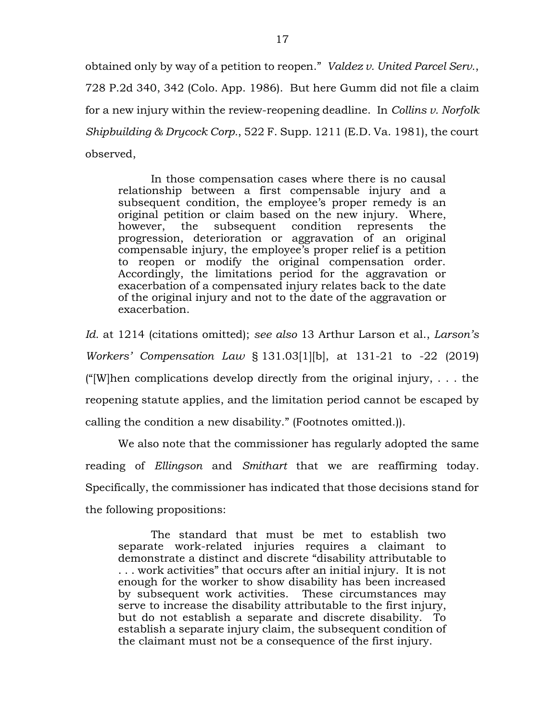obtained only by way of a petition to reopen." *Valdez v. United Parcel Serv.*, 728 P.2d 340, 342 (Colo. App. 1986). But here Gumm did not file a claim for a new injury within the review-reopening deadline. In *Collins v. Norfolk Shipbuilding & Drycock Corp.*, 522 F. Supp. 1211 (E.D. Va. 1981), the court observed,

In those compensation cases where there is no causal relationship between a first compensable injury and a subsequent condition, the employee's proper remedy is an original petition or claim based on the new injury. Where, however, the subsequent condition represents the progression, deterioration or aggravation of an original compensable injury, the employee's proper relief is a petition to reopen or modify the original compensation order. Accordingly, the limitations period for the aggravation or exacerbation of a compensated injury relates back to the date of the original injury and not to the date of the aggravation or exacerbation.

*Id.* at 1214 (citations omitted); *see also* 13 Arthur Larson et al., *Larson's Workers' Compensation Law* § 131.03[1][b], at 131-21 to -22 (2019) ("|W|hen complications develop directly from the original injury,  $\dots$  the reopening statute applies, and the limitation period cannot be escaped by calling the condition a new disability." (Footnotes omitted.)).

We also note that the commissioner has regularly adopted the same reading of *Ellingson* and *Smithart* that we are reaffirming today. Specifically, the commissioner has indicated that those decisions stand for the following propositions:

The standard that must be met to establish two separate work-related injuries requires a claimant to demonstrate a distinct and discrete "disability attributable to . . . work activities" that occurs after an initial injury. It is not enough for the worker to show disability has been increased by subsequent work activities. These circumstances may serve to increase the disability attributable to the first injury, but do not establish a separate and discrete disability. To establish a separate injury claim, the subsequent condition of the claimant must not be a consequence of the first injury.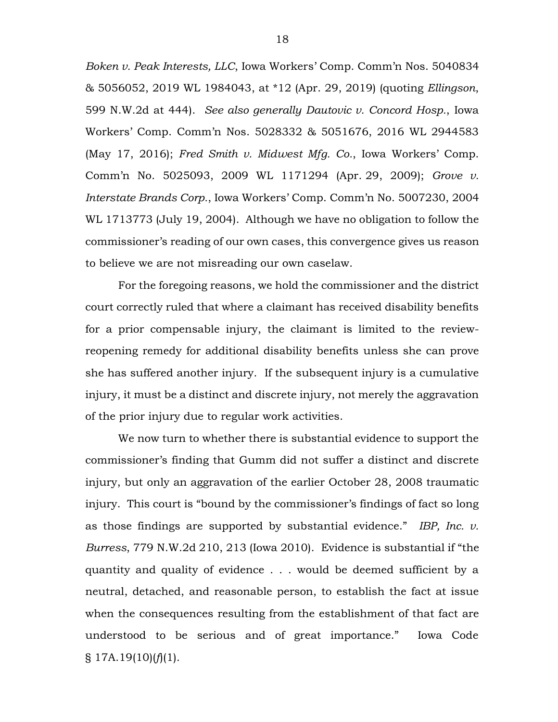*Boken v. Peak Interests, LLC*, Iowa Workers' Comp. Comm'n Nos. 5040834 & 5056052, 2019 WL 1984043, at \*12 (Apr. 29, 2019) (quoting *Ellingson*, 599 N.W.2d at 444). *See also generally Dautovic v. Concord Hosp.*, Iowa Workers' Comp. Comm'n Nos. 5028332 & 5051676, 2016 WL 2944583 (May 17, 2016); *Fred Smith v. Midwest Mfg. Co.*, Iowa Workers' Comp. Comm'n No. 5025093, 2009 WL 1171294 (Apr. 29, 2009); *Grove v. Interstate Brands Corp.*, Iowa Workers' Comp. Comm'n No. 5007230, 2004 WL 1713773 (July 19, 2004). Although we have no obligation to follow the commissioner's reading of our own cases, this convergence gives us reason to believe we are not misreading our own caselaw.

For the foregoing reasons, we hold the commissioner and the district court correctly ruled that where a claimant has received disability benefits for a prior compensable injury, the claimant is limited to the reviewreopening remedy for additional disability benefits unless she can prove she has suffered another injury. If the subsequent injury is a cumulative injury, it must be a distinct and discrete injury, not merely the aggravation of the prior injury due to regular work activities.

We now turn to whether there is substantial evidence to support the commissioner's finding that Gumm did not suffer a distinct and discrete injury, but only an aggravation of the earlier October 28, 2008 traumatic injury. This court is "bound by the commissioner's findings of fact so long as those findings are supported by substantial evidence." *IBP, Inc. v. Burress*, 779 N.W.2d 210, 213 (Iowa 2010). Evidence is substantial if "the quantity and quality of evidence . . . would be deemed sufficient by a neutral, detached, and reasonable person, to establish the fact at issue when the consequences resulting from the establishment of that fact are understood to be serious and of great importance." Iowa Code  $\S$  17A.19(10)( $f$ )(1).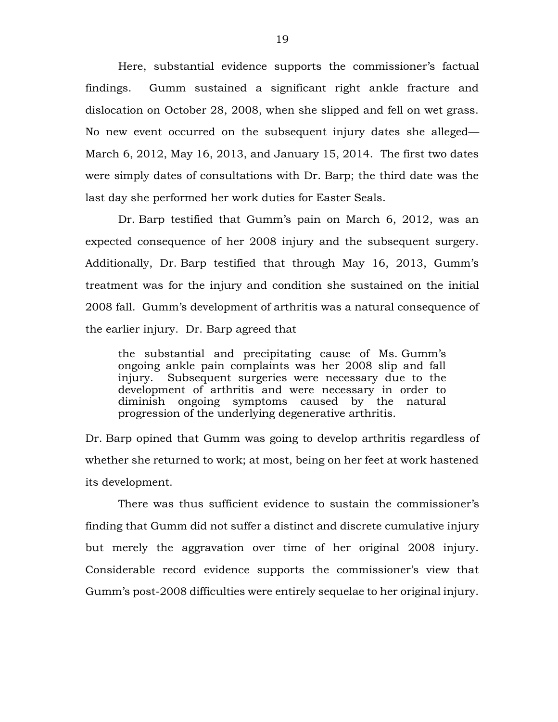Here, substantial evidence supports the commissioner's factual findings. Gumm sustained a significant right ankle fracture and dislocation on October 28, 2008, when she slipped and fell on wet grass. No new event occurred on the subsequent injury dates she alleged— March 6, 2012, May 16, 2013, and January 15, 2014. The first two dates were simply dates of consultations with Dr. Barp; the third date was the last day she performed her work duties for Easter Seals.

Dr. Barp testified that Gumm's pain on March 6, 2012, was an expected consequence of her 2008 injury and the subsequent surgery. Additionally, Dr. Barp testified that through May 16, 2013, Gumm's treatment was for the injury and condition she sustained on the initial 2008 fall. Gumm's development of arthritis was a natural consequence of the earlier injury. Dr. Barp agreed that

the substantial and precipitating cause of Ms. Gumm's ongoing ankle pain complaints was her 2008 slip and fall injury. Subsequent surgeries were necessary due to the development of arthritis and were necessary in order to diminish ongoing symptoms caused by the natural progression of the underlying degenerative arthritis.

Dr. Barp opined that Gumm was going to develop arthritis regardless of whether she returned to work; at most, being on her feet at work hastened its development.

There was thus sufficient evidence to sustain the commissioner's finding that Gumm did not suffer a distinct and discrete cumulative injury but merely the aggravation over time of her original 2008 injury. Considerable record evidence supports the commissioner's view that Gumm's post-2008 difficulties were entirely sequelae to her original injury.